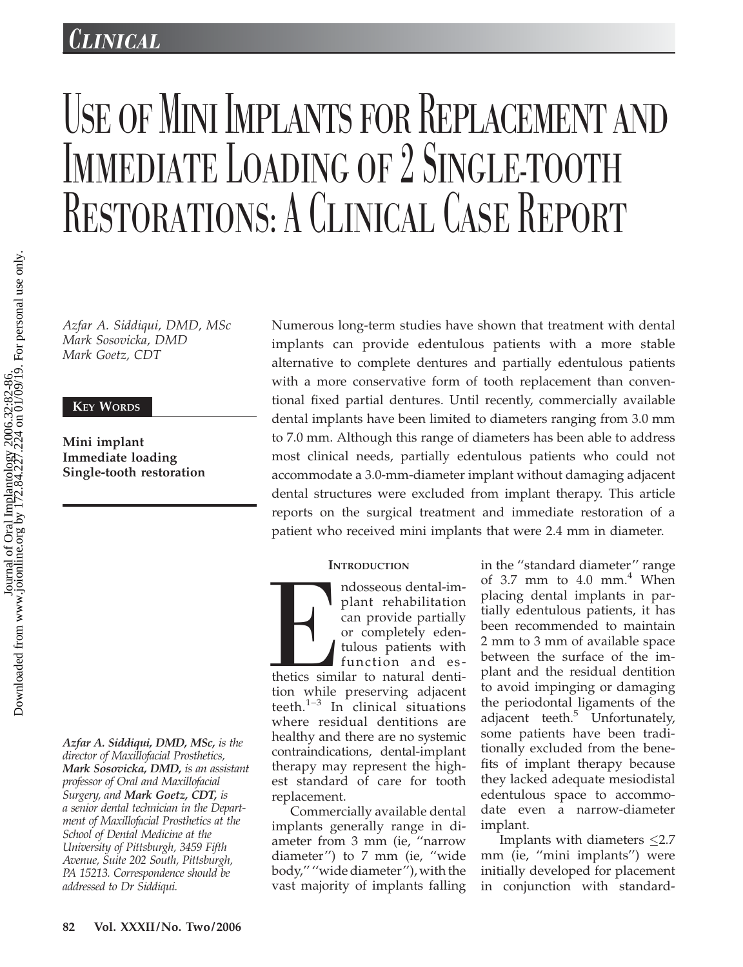## CLINICAL

# USE OF MINI IMPLANTS FOR REPLACEMENT AND IMMEDIATE LOADING OF 2 SINGLE-TOOTH RESTORATIONS: A CLINICAL CASE REPORT

Azfar A. Siddiqui, DMD, MSc Mark Sosovicka, DMD Mark Goetz, CDT

### KEY WORDS

Mini implant Immediate loading Single-tooth restoration

Azfar A. Siddiqui, DMD, MSc, is the director of Maxillofacial Prosthetics, Mark Sosovicka, DMD, is an assistant professor of Oral and Maxillofacial Surgery, and Mark Goetz, CDT, is a senior dental technician in the Department of Maxillofacial Prosthetics at the School of Dental Medicine at the University of Pittsburgh, 3459 Fifth Avenue, Suite 202 South, Pittsburgh, PA 15213. Correspondence should be addressed to Dr Siddiqui.

Numerous long-term studies have shown that treatment with dental implants can provide edentulous patients with a more stable alternative to complete dentures and partially edentulous patients with a more conservative form of tooth replacement than conventional fixed partial dentures. Until recently, commercially available dental implants have been limited to diameters ranging from 3.0 mm to 7.0 mm. Although this range of diameters has been able to address most clinical needs, partially edentulous patients who could not accommodate a 3.0-mm-diameter implant without damaging adjacent dental structures were excluded from implant therapy. This article reports on the surgical treatment and immediate restoration of a patient who received mini implants that were 2.4 mm in diameter.

#### **INTRODUCTION**

The distribution while ndosseous dental-implant rehabilitation can provide partially or completely edentulous patients with function and esthetics similar to natural dentition while preserving adjacent teeth. $1-3$  In clinical situations where residual dentitions are healthy and there are no systemic contraindications, dental-implant therapy may represent the highest standard of care for tooth replacement.

Commercially available dental implants generally range in diameter from 3 mm (ie, ''narrow diameter'') to 7 mm (ie, ''wide body,'' ''wide diameter''), with the vast majority of implants falling

in the ''standard diameter'' range of  $3.7$  mm to  $4.0$  mm.<sup>4</sup> When placing dental implants in partially edentulous patients, it has been recommended to maintain 2 mm to 3 mm of available space between the surface of the implant and the residual dentition to avoid impinging or damaging the periodontal ligaments of the adjacent teeth. $5$  Unfortunately, some patients have been traditionally excluded from the benefits of implant therapy because they lacked adequate mesiodistal edentulous space to accommodate even a narrow-diameter implant.

Implants with diameters  $\leq$ 2.7 mm (ie, ''mini implants'') were initially developed for placement in conjunction with standard-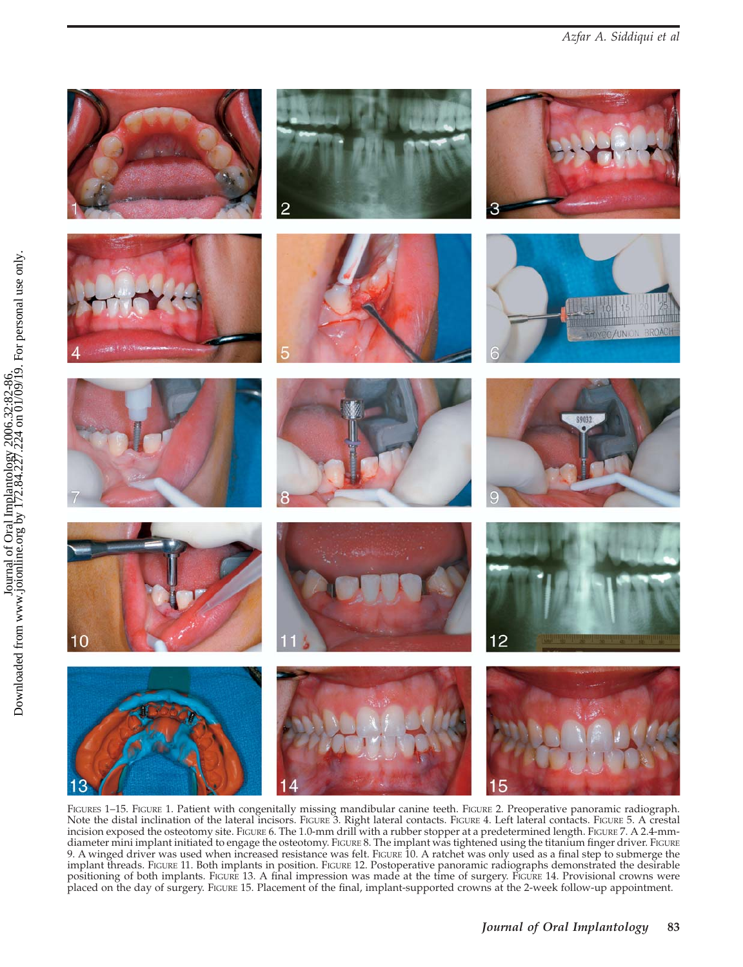

FIGURES 1-15. FIGURE 1. Patient with congenitally missing mandibular canine teeth. FIGURE 2. Preoperative panoramic radiograph. Note the distal inclination of the lateral incisors. FIGURE 3. Right lateral contacts. FIGURE 4. Left lateral contacts. FIGURE 5. A crestal incision exposed the osteotomy site. FIGURE 6. The 1.0-mm drill with a rubber stopper at a predetermined length. FIGURE 7. A 2.4-mmdiameter mini implant initiated to engage the osteotomy. FIGURE 8. The implant was tightened using the titanium finger driver. FIGURE 9. A winged driver was used when increased resistance was felt. FIGURE 10. A ratchet was only used as a final step to submerge the implant threads. FIGURE 11. Both implants in position. FIGURE 12. Postoperative panoramic radiographs demonstrated the desirable positioning of both implants. FIGURE 13. A final impression was made at the time of surgery. FIGURE 14. Provisional crowns were placed on the day of surgery. FIGURE 15. Placement of the final, implant-supported crowns at the 2-week follow-up appointment.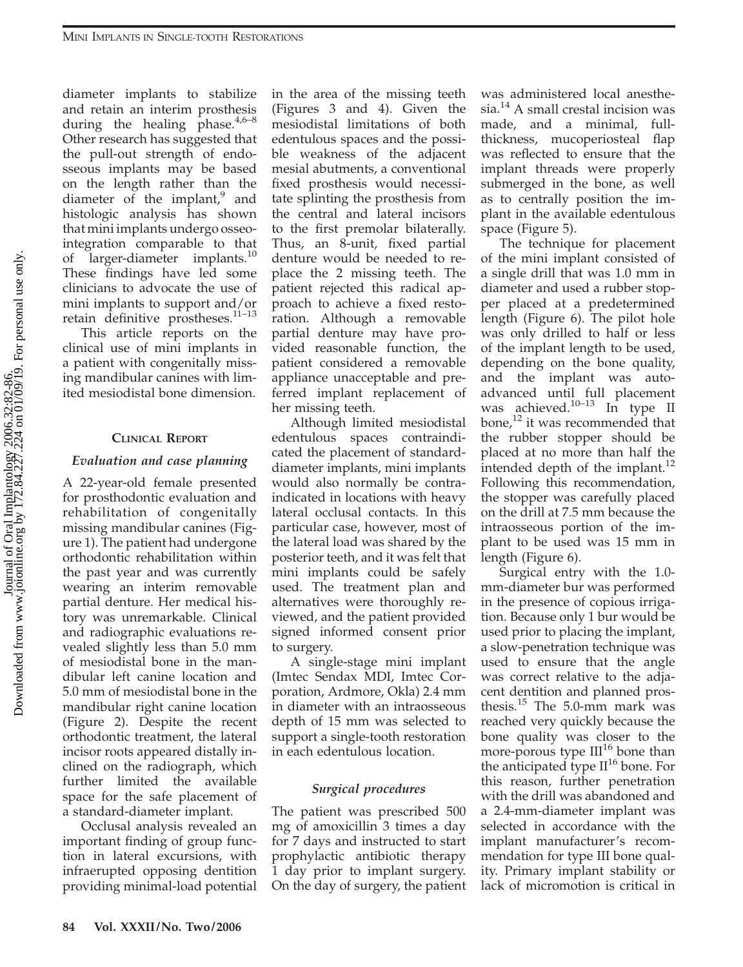diameter implants to stabilize and retain an interim prosthesis during the healing phase. $4,6-8$ Other research has suggested that the pull-out strength of endosseous implants may be based on the length rather than the diameter of the implant,<sup>9</sup> and histologic analysis has shown that mini implants undergo osseointegration comparable to that of larger-diameter implants.<sup>10</sup> These findings have led some clinicians to advocate the use of mini implants to support and/or retain definitive prostheses. $11-13$ 

This article reports on the clinical use of mini implants in a patient with congenitally missing mandibular canines with limited mesiodistal bone dimension.

#### CLINICAL REPORT

#### Evaluation and case planning

A 22-year-old female presented for prosthodontic evaluation and rehabilitation of congenitally missing mandibular canines (Figure 1). The patient had undergone orthodontic rehabilitation within the past year and was currently wearing an interim removable partial denture. Her medical history was unremarkable. Clinical and radiographic evaluations revealed slightly less than 5.0 mm of mesiodistal bone in the mandibular left canine location and 5.0 mm of mesiodistal bone in the mandibular right canine location (Figure 2). Despite the recent orthodontic treatment, the lateral incisor roots appeared distally inclined on the radiograph, which further limited the available space for the safe placement of a standard-diameter implant.

Occlusal analysis revealed an important finding of group function in lateral excursions, with infraerupted opposing dentition providing minimal-load potential

in the area of the missing teeth (Figures 3 and 4). Given the mesiodistal limitations of both edentulous spaces and the possible weakness of the adjacent mesial abutments, a conventional fixed prosthesis would necessitate splinting the prosthesis from the central and lateral incisors to the first premolar bilaterally. Thus, an 8-unit, fixed partial denture would be needed to replace the 2 missing teeth. The patient rejected this radical approach to achieve a fixed restoration. Although a removable partial denture may have provided reasonable function, the patient considered a removable appliance unacceptable and preferred implant replacement of her missing teeth.

Although limited mesiodistal edentulous spaces contraindicated the placement of standarddiameter implants, mini implants would also normally be contraindicated in locations with heavy lateral occlusal contacts. In this particular case, however, most of the lateral load was shared by the posterior teeth, and it was felt that mini implants could be safely used. The treatment plan and alternatives were thoroughly reviewed, and the patient provided signed informed consent prior to surgery.

A single-stage mini implant (Imtec Sendax MDI, Imtec Corporation, Ardmore, Okla) 2.4 mm in diameter with an intraosseous depth of 15 mm was selected to support a single-tooth restoration in each edentulous location.

#### Surgical procedures

The patient was prescribed 500 mg of amoxicillin 3 times a day for 7 days and instructed to start prophylactic antibiotic therapy 1 day prior to implant surgery. On the day of surgery, the patient was administered local anesthesia.<sup>14</sup> A small crestal incision was made, and a minimal, fullthickness, mucoperiosteal flap was reflected to ensure that the implant threads were properly submerged in the bone, as well as to centrally position the implant in the available edentulous space (Figure 5).

The technique for placement of the mini implant consisted of a single drill that was 1.0 mm in diameter and used a rubber stopper placed at a predetermined length (Figure 6). The pilot hole was only drilled to half or less of the implant length to be used, depending on the bone quality, and the implant was autoadvanced until full placement was achieved. $10-13$  In type II bone, $^{12}$  it was recommended that the rubber stopper should be placed at no more than half the intended depth of the implant.<sup>12</sup> Following this recommendation, the stopper was carefully placed on the drill at 7.5 mm because the intraosseous portion of the implant to be used was 15 mm in length (Figure 6).

Surgical entry with the 1.0 mm-diameter bur was performed in the presence of copious irrigation. Because only 1 bur would be used prior to placing the implant, a slow-penetration technique was used to ensure that the angle was correct relative to the adjacent dentition and planned prosthesis. $15$  The 5.0-mm mark was reached very quickly because the bone quality was closer to the more-porous type  $III^{16}$  bone than the anticipated type  $II^{16}$  bone. For this reason, further penetration with the drill was abandoned and a 2.4-mm-diameter implant was selected in accordance with the implant manufacturer's recommendation for type III bone quality. Primary implant stability or lack of micromotion is critical in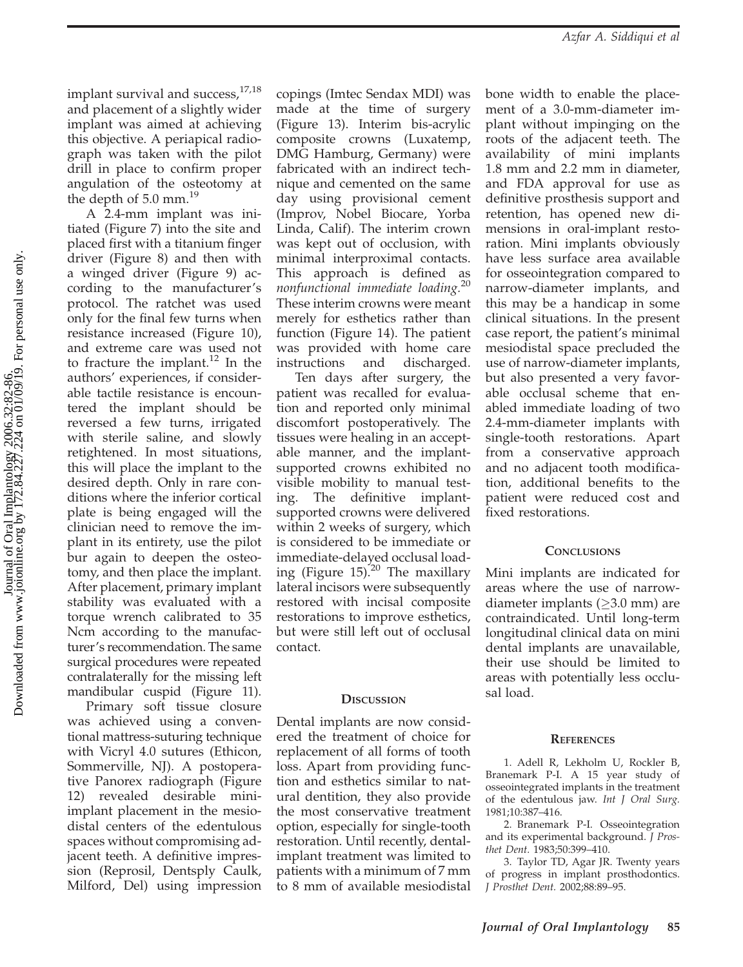implant survival and success,<sup>17,18</sup> and placement of a slightly wider implant was aimed at achieving this objective. A periapical radiograph was taken with the pilot drill in place to confirm proper angulation of the osteotomy at the depth of 5.0 mm.<sup>19</sup>

A 2.4-mm implant was initiated (Figure 7) into the site and placed first with a titanium finger driver (Figure 8) and then with a winged driver (Figure 9) according to the manufacturer's protocol. The ratchet was used only for the final few turns when resistance increased (Figure 10), and extreme care was used not to fracture the implant. $^{12}$  In the authors' experiences, if considerable tactile resistance is encountered the implant should be reversed a few turns, irrigated with sterile saline, and slowly retightened. In most situations, this will place the implant to the desired depth. Only in rare conditions where the inferior cortical plate is being engaged will the clinician need to remove the implant in its entirety, use the pilot bur again to deepen the osteotomy, and then place the implant. After placement, primary implant stability was evaluated with a torque wrench calibrated to 35 Ncm according to the manufacturer's recommendation. The same surgical procedures were repeated contralaterally for the missing left mandibular cuspid (Figure 11).

Primary soft tissue closure was achieved using a conventional mattress-suturing technique with Vicryl 4.0 sutures (Ethicon, Sommerville, NJ). A postoperative Panorex radiograph (Figure 12) revealed desirable miniimplant placement in the mesiodistal centers of the edentulous spaces without compromising adjacent teeth. A definitive impression (Reprosil, Dentsply Caulk, Milford, Del) using impression copings (Imtec Sendax MDI) was made at the time of surgery (Figure 13). Interim bis-acrylic composite crowns (Luxatemp, DMG Hamburg, Germany) were fabricated with an indirect technique and cemented on the same day using provisional cement (Improv, Nobel Biocare, Yorba Linda, Calif). The interim crown was kept out of occlusion, with minimal interproximal contacts. This approach is defined as nonfunctional immediate loading.<sup>20</sup> These interim crowns were meant merely for esthetics rather than function (Figure 14). The patient was provided with home care instructions and discharged.

Ten days after surgery, the patient was recalled for evaluation and reported only minimal discomfort postoperatively. The tissues were healing in an acceptable manner, and the implantsupported crowns exhibited no visible mobility to manual testing. The definitive implantsupported crowns were delivered within 2 weeks of surgery, which is considered to be immediate or immediate-delayed occlusal loading (Figure  $15)^{20}$  The maxillary lateral incisors were subsequently restored with incisal composite restorations to improve esthetics, but were still left out of occlusal contact.

#### **DISCUSSION**

Dental implants are now considered the treatment of choice for replacement of all forms of tooth loss. Apart from providing function and esthetics similar to natural dentition, they also provide the most conservative treatment option, especially for single-tooth restoration. Until recently, dentalimplant treatment was limited to patients with a minimum of 7 mm to 8 mm of available mesiodistal

bone width to enable the placement of a 3.0-mm-diameter implant without impinging on the roots of the adjacent teeth. The availability of mini implants 1.8 mm and 2.2 mm in diameter, and FDA approval for use as definitive prosthesis support and retention, has opened new dimensions in oral-implant restoration. Mini implants obviously have less surface area available for osseointegration compared to narrow-diameter implants, and this may be a handicap in some clinical situations. In the present case report, the patient's minimal mesiodistal space precluded the use of narrow-diameter implants, but also presented a very favorable occlusal scheme that enabled immediate loading of two 2.4-mm-diameter implants with single-tooth restorations. Apart from a conservative approach and no adjacent tooth modification, additional benefits to the patient were reduced cost and fixed restorations.

#### **CONCLUSIONS**

Mini implants are indicated for areas where the use of narrowdiameter implants ( $\geq$ 3.0 mm) are contraindicated. Until long-term longitudinal clinical data on mini dental implants are unavailable, their use should be limited to areas with potentially less occlusal load.

#### **REFERENCES**

1. Adell R, Lekholm U, Rockler B, Branemark P-I. A 15 year study of osseointegrated implants in the treatment of the edentulous jaw. Int J Oral Surg. 1981;10:387–416.

2. Branemark P-I. Osseointegration and its experimental background. J Prosthet Dent. 1983;50:399–410.

3. Taylor TD, Agar JR. Twenty years of progress in implant prosthodontics. J Prosthet Dent. 2002;88:89–95.